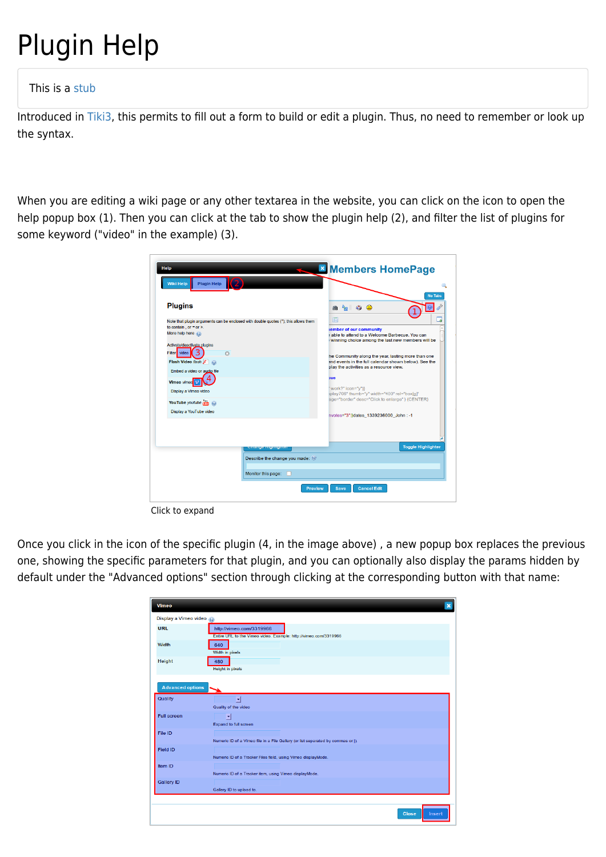## Plugin Help

## This is a [stub](https://doc.tiki.org/stub)

Introduced in [Tiki3,](https://doc.tiki.org/Tiki3) this permits to fill out a form to build or edit a plugin. Thus, no need to remember or look up the syntax.

When you are editing a wiki page or any other textarea in the website, you can click on the icon to open the help popup box (1). Then you can click at the tab to show the plugin help (2), and filter the list of plugins for some keyword ("video" in the example) (3).

| <b>Plugin Help</b><br>Wiki Help                                                     |                                                                                                             |
|-------------------------------------------------------------------------------------|-------------------------------------------------------------------------------------------------------------|
| <b>Plugins</b>                                                                      | <b>No Tabs</b><br>$\mathbf{A}$<br>崙                                                                         |
| Note that plugin arguments can be enclosed with double quotes ("); this allows them | 同                                                                                                           |
| to contain, or $=$ or $\ge$ .<br>More help here (O)                                 | <b>iember of our community</b><br>able to attend to a Welcome Barbecue. You can                             |
|                                                                                     | winning choice among the last new members will be                                                           |
| Activate/deactivate plugins<br>Filter video<br>$\Omega$                             |                                                                                                             |
| Flash Video flash                                                                   | he Community along the year, lasting more than one<br>and events in the full calendar shown below). See the |
| Embed a video or audio file                                                         | play the activities as a resource view.                                                                     |
| Vimeo vimeo                                                                         | zue                                                                                                         |
| Display a Vimeo video                                                               | 'work?" icon="v")}<br>splay706" thumb="y" width="400" rel="box[g]"                                          |
| YouTube youtube You<br>$\odot$                                                      | age="border" desc="Click to enlarge" } {CENTER}                                                             |
| Display a YouTube video                                                             |                                                                                                             |
|                                                                                     | nvotes="3")}dates 1339236000 John:-1                                                                        |
|                                                                                     |                                                                                                             |
|                                                                                     |                                                                                                             |
| лынус твунвушст                                                                     | <b>Toggle Highlighter</b>                                                                                   |
| Describe the change you made:                                                       |                                                                                                             |
|                                                                                     |                                                                                                             |
| Monitor this page:                                                                  |                                                                                                             |

Click to expand

Once you click in the icon of the specific plugin (4, in the image above) , a new popup box replaces the previous one, showing the specific parameters for that plugin, and you can optionally also display the params hidden by default under the "Advanced options" section through clicking at the corresponding button with that name:

| Vimeo                   | $\overline{\mathbf{x}}$                                                                      |
|-------------------------|----------------------------------------------------------------------------------------------|
| Display a Vimeo video   |                                                                                              |
| <b>URL</b>              | http://vimeo.com/3319966<br>Entire URL to the Vimeo video. Example: http://vimeo.com/3319966 |
| Width                   | 640<br>Width in pixels                                                                       |
| Height                  | 480<br><b>Height</b> in pixels                                                               |
| <b>Advanced options</b> |                                                                                              |
| Quality                 | 킈<br>Quality of the video                                                                    |
| <b>Full screen</b>      | ⊡<br><b>Expand to full screen</b>                                                            |
| File ID                 | Numeric ID of a Vimeo file in a File Gallery (or list separated by commas or  ).             |
| Field ID                | Numeric ID of a Tracker Files field, using Vimeo displayMode.                                |
| Item ID                 | Numeric ID of a Tracker item, using Vimeo displayMode.                                       |
| <b>Gallery ID</b>       | Gallery ID to upload to.                                                                     |
|                         | <b>Close</b><br>Insert                                                                       |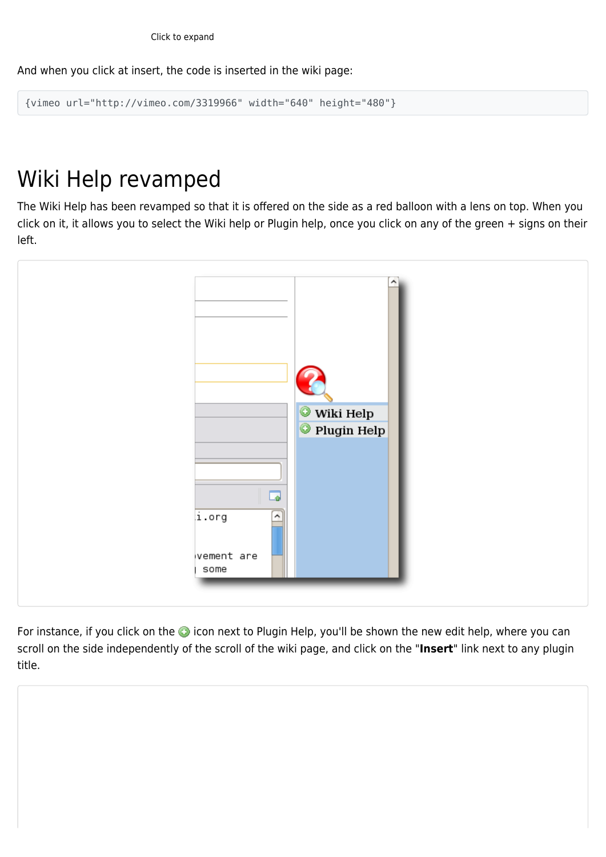And when you click at insert, the code is inserted in the wiki page:

```
{vimeo url="http://vimeo.com/3319966" width="640" height="480"}
```
## Wiki Help revamped

The Wiki Help has been revamped so that it is offered on the side as a red balloon with a lens on top. When you click on it, it allows you to select the Wiki help or Plugin help, once you click on any of the green + signs on their left.



For instance, if you click on the **i**con next to Plugin Help, you'll be shown the new edit help, where you can scroll on the side independently of the scroll of the wiki page, and click on the "**Insert**" link next to any plugin title.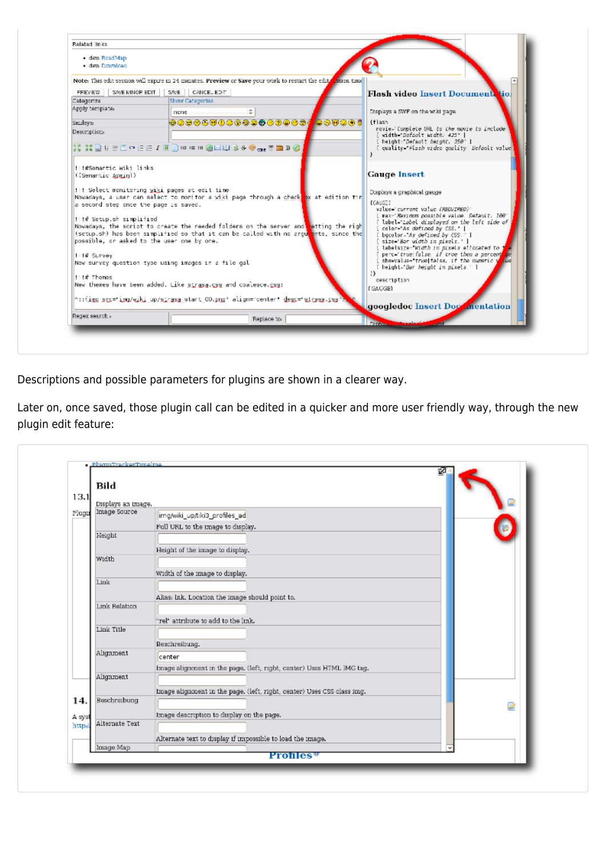|                                                                                                      | Note: This edit session will expire in 24 minutes. Preview or Save your work to restart the edits assign time                                                                                                                                                                                                                                                                                                                 |                                                                                                                                                                                                                                                                                                                                                              |
|------------------------------------------------------------------------------------------------------|-------------------------------------------------------------------------------------------------------------------------------------------------------------------------------------------------------------------------------------------------------------------------------------------------------------------------------------------------------------------------------------------------------------------------------|--------------------------------------------------------------------------------------------------------------------------------------------------------------------------------------------------------------------------------------------------------------------------------------------------------------------------------------------------------------|
| SAVE MINOR EDIT<br>PREVEW<br>Categoriza                                                              | SAVE   CANCEL EDIT<br>Show Catagorias                                                                                                                                                                                                                                                                                                                                                                                         | Flash video Insert Document tiol                                                                                                                                                                                                                                                                                                                             |
| Apply template:                                                                                      |                                                                                                                                                                                                                                                                                                                                                                                                                               |                                                                                                                                                                                                                                                                                                                                                              |
|                                                                                                      | none                                                                                                                                                                                                                                                                                                                                                                                                                          | Displays a SWF on the wiki page.                                                                                                                                                                                                                                                                                                                             |
| <b>Smileys</b>                                                                                       | 000060000000000000 <mark>0</mark> 000000                                                                                                                                                                                                                                                                                                                                                                                      | {flash<br>novie-'Complete URL to the movie to include!                                                                                                                                                                                                                                                                                                       |
| Description.                                                                                         |                                                                                                                                                                                                                                                                                                                                                                                                                               | [ width="Befault width; 425"                                                                                                                                                                                                                                                                                                                                 |
|                                                                                                      | XXXQUED @ EE IE D @ @ @ @ @ @ @ \$ @ <sub>@ @</sub> @ @ B @                                                                                                                                                                                                                                                                                                                                                                   | [ height="Default height, 350" ]<br>quality - Flash video quality. Default value                                                                                                                                                                                                                                                                             |
|                                                                                                      |                                                                                                                                                                                                                                                                                                                                                                                                                               |                                                                                                                                                                                                                                                                                                                                                              |
| !!! Select monitoring wiki pages at edit time<br>a second step once the page is saved.               | Nowadays, a user can select to nonitor a wiki page through a check ax at edition tim                                                                                                                                                                                                                                                                                                                                          | Displays a graphical gauge<br><b>COAUGED</b><br>value-"current value (REGUIRED)"<br>[ max="Maximum possible value, Default; 100"                                                                                                                                                                                                                             |
| !!!# Setup.sh simplified<br>possible, or asked to the user one by one.<br>Ill# Survey<br>!!!# Themes | Nowadays, the script to create the needed folders on the server and hetting the righ<br>(setup.sh) has been simplified so that it can be called with no argu <mark>ments, since the</mark><br>New survey question type using images in a file gal<br>New themes have been added. Like strasa.css and coalesce.css:<br>"::{img s <u>r</u> c="img/wiki up/s <u>trasa</u> start CO.ong" align="center" <u>des</u> c="strasa.ssa" | label='Label displayed on the left side of<br>color="As defined by CSS."  <br>bocolor-As defined by CSS." 1<br>size-"Bar width in pixels."<br>[ labelsize= Width in nixels allocated to<br>perc='true false, if true then a percent<br>showvalue- true[false, if the numeric y<br>[ height="Bar height in pixels." ]<br>33.<br>description<br><b>EGAUGE}</b> |

Descriptions and possible parameters for plugins are shown in a clearer way.

Later on, once saved, those plugin call can be edited in a quicker and more user friendly way, through the new plugin edit feature:

|        | Bild               |                                                                        | 図 |
|--------|--------------------|------------------------------------------------------------------------|---|
| 13.1   | Displays an image. |                                                                        |   |
| Plugti | Image Source       | img/wiki_up/tiki3_profiles_ad                                          |   |
|        |                    | Full URL to the image to display.                                      |   |
|        | Height             |                                                                        |   |
|        |                    | Height of the image to display.                                        |   |
|        | Width              |                                                                        |   |
|        |                    | Width of the image to display.                                         |   |
|        | 1.ink              |                                                                        |   |
|        |                    |                                                                        |   |
|        | Link Relation      | Alias: Ink. Location the image should point to.                        |   |
|        |                    | "rel" attribute to add to the link.                                    |   |
|        | Link Title         |                                                                        |   |
|        |                    |                                                                        |   |
|        | Alignment          | Beschreibung.                                                          |   |
|        |                    | center                                                                 |   |
|        | Alignment          | Image alignment in the page. (left, right, center) Uses HTML IMG tag.  |   |
|        |                    |                                                                        |   |
|        | Beschreibung       | Image alignment in the page. (left, right, center) Uses CSS class img. |   |
| 14.    |                    |                                                                        | ⋓ |
| A syst |                    | Image description to display on the page.                              |   |
| http:/ | Alternate Text     |                                                                        |   |
|        |                    | Alternate text to display if impossible to load the image.             |   |
|        | Image Map          | Profiles <sup>®</sup>                                                  |   |